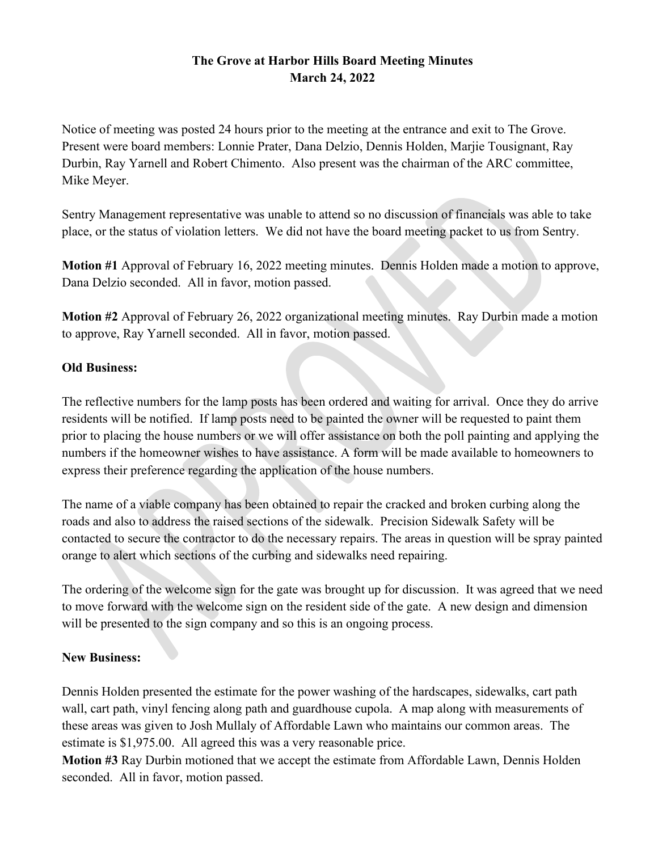## **The Grove at Harbor Hills Board Meeting Minutes March 24, 2022**

Notice of meeting was posted 24 hours prior to the meeting at the entrance and exit to The Grove. Present were board members: Lonnie Prater, Dana Delzio, Dennis Holden, Marjie Tousignant, Ray Durbin, Ray Yarnell and Robert Chimento. Also present was the chairman of the ARC committee, Mike Meyer.

Sentry Management representative was unable to attend so no discussion of financials was able to take place, or the status of violation letters. We did not have the board meeting packet to us from Sentry.

**Motion #1** Approval of February 16, 2022 meeting minutes. Dennis Holden made a motion to approve, Dana Delzio seconded. All in favor, motion passed.

**Motion #2** Approval of February 26, 2022 organizational meeting minutes. Ray Durbin made a motion to approve, Ray Yarnell seconded. All in favor, motion passed.

## **Old Business:**

The reflective numbers for the lamp posts has been ordered and waiting for arrival. Once they do arrive residents will be notified. If lamp posts need to be painted the owner will be requested to paint them prior to placing the house numbers or we will offer assistance on both the poll painting and applying the numbers if the homeowner wishes to have assistance. A form will be made available to homeowners to express their preference regarding the application of the house numbers.

The name of a viable company has been obtained to repair the cracked and broken curbing along the roads and also to address the raised sections of the sidewalk. Precision Sidewalk Safety will be contacted to secure the contractor to do the necessary repairs. The areas in question will be spray painted orange to alert which sections of the curbing and sidewalks need repairing.

The ordering of the welcome sign for the gate was brought up for discussion. It was agreed that we need to move forward with the welcome sign on the resident side of the gate. A new design and dimension will be presented to the sign company and so this is an ongoing process.

## **New Business:**

Dennis Holden presented the estimate for the power washing of the hardscapes, sidewalks, cart path wall, cart path, vinyl fencing along path and guardhouse cupola. A map along with measurements of these areas was given to Josh Mullaly of Affordable Lawn who maintains our common areas. The estimate is \$1,975.00. All agreed this was a very reasonable price.

**Motion #3** Ray Durbin motioned that we accept the estimate from Affordable Lawn, Dennis Holden seconded. All in favor, motion passed.